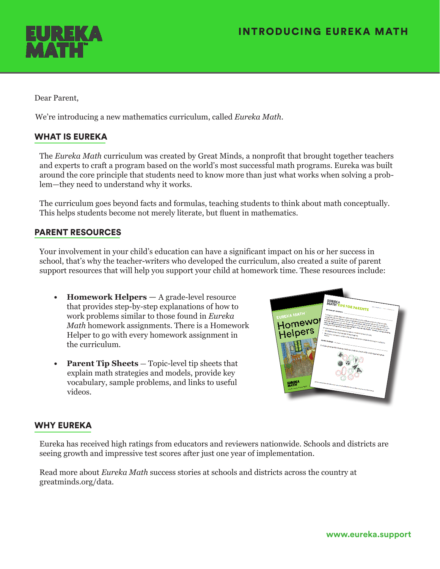

Dear Parent,

We're introducing a new mathematics curriculum, called *Eureka Math*.

# WHAT IS EUREKA

The *Eureka Math* curriculum was created by Great Minds, a nonprofit that brought together teachers and experts to craft a program based on the world's most successful math programs. Eureka was built around the core principle that students need to know more than just what works when solving a problem—they need to understand why it works.

The curriculum goes beyond facts and formulas, teaching students to think about math conceptually. This helps students become not merely literate, but fluent in mathematics.

## PARENT RESOURCES

Your involvement in your child's education can have a significant impact on his or her success in school, that's why the teacher-writers who developed the curriculum, also created a suite of parent support resources that will help you support your child at homework time. These resources include:

- **• Homework Helpers** A grade-level resource that provides step-by-step explanations of how to work problems similar to those found in *Eureka Math* homework assignments. There is a Homework Helper to go with every homework assignment in the curriculum.
- **• Parent Tip Sheets** Topic-level tip sheets that explain math strategies and models, provide key vocabulary, sample problems, and links to useful videos.



### WHY EUREKA

Eureka has received high ratings from educators and reviewers nationwide. Schools and districts are seeing growth and impressive test scores after just one year of implementation.

Read more about *Eureka Math* success stories at schools and districts across the country at greatminds.org/data.